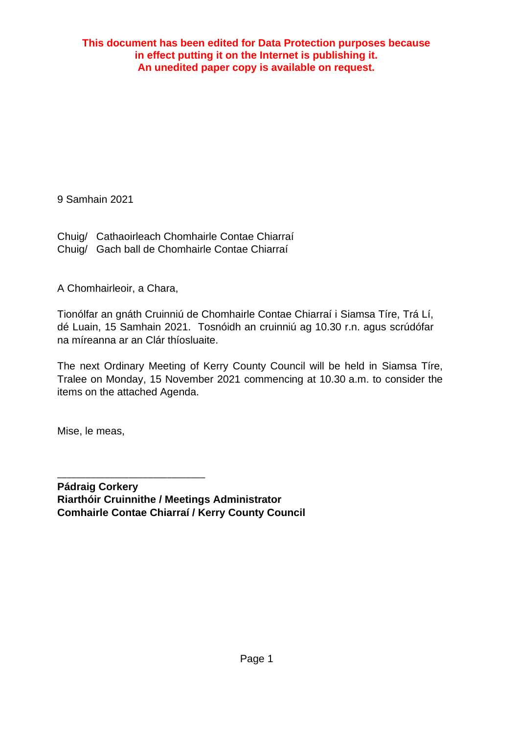9 Samhain 2021

Chuig/ Cathaoirleach Chomhairle Contae Chiarraí Chuig/ Gach ball de Chomhairle Contae Chiarraí

A Chomhairleoir, a Chara,

Tionólfar an gnáth Cruinniú de Chomhairle Contae Chiarraí i Siamsa Tíre, Trá Lí, dé Luain, 15 Samhain 2021. Tosnóidh an cruinniú ag 10.30 r.n. agus scrúdófar na míreanna ar an Clár thíosluaite.

The next Ordinary Meeting of Kerry County Council will be held in Siamsa Tíre, Tralee on Monday, 15 November 2021 commencing at 10.30 a.m. to consider the items on the attached Agenda.

Mise, le meas,

\_\_\_\_\_\_\_\_\_\_\_\_\_\_\_\_\_\_\_\_\_\_\_\_\_\_\_\_\_\_\_

**Pádraig Corkery Riarthóir Cruinnithe / Meetings Administrator Comhairle Contae Chiarraí / Kerry County Council**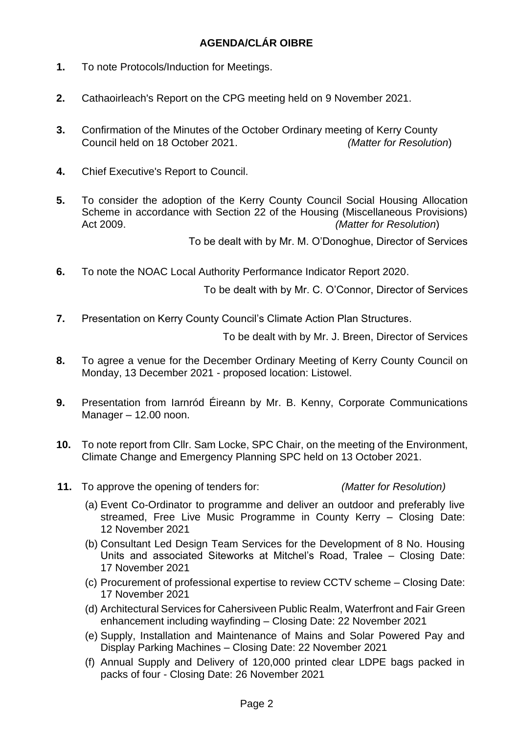## **AGENDA/CLÁR OIBRE**

- **1.** To note Protocols/Induction for Meetings.
- **2.** Cathaoirleach's Report on the CPG meeting held on 9 November 2021.
- **3.** Confirmation of the Minutes of the October Ordinary meeting of Kerry County Council held on 18 October 2021. *(Matter for Resolution*)
- **4.** Chief Executive's Report to Council.
- **5.** To consider the adoption of the Kerry County Council Social Housing Allocation Scheme in accordance with Section 22 of the Housing (Miscellaneous Provisions) Act 2009. *(Matter for Resolution*)

To be dealt with by Mr. M. O'Donoghue, Director of Services

**6.** To note the NOAC Local Authority Performance Indicator Report 2020.

To be dealt with by Mr. C. O'Connor, Director of Services

**7.** Presentation on Kerry County Council's Climate Action Plan Structures.

To be dealt with by Mr. J. Breen, Director of Services

- **8.** To agree a venue for the December Ordinary Meeting of Kerry County Council on Monday, 13 December 2021 - proposed location: Listowel.
- **9.** Presentation from Iarnród Éireann by Mr. B. Kenny, Corporate Communications Manager – 12.00 noon.
- **10.** To note report from Cllr. Sam Locke, SPC Chair, on the meeting of the Environment, Climate Change and Emergency Planning SPC held on 13 October 2021.
- **11.** To approve the opening of tenders for: *(Matter for Resolution)*

- (a) Event Co-Ordinator to programme and deliver an outdoor and preferably live streamed, Free Live Music Programme in County Kerry – Closing Date: 12 November 2021
- (b) Consultant Led Design Team Services for the Development of 8 No. Housing Units and associated Siteworks at Mitchel's Road, Tralee – Closing Date: 17 November 2021
- (c) Procurement of professional expertise to review CCTV scheme Closing Date: 17 November 2021
- (d) Architectural Services for Cahersiveen Public Realm, Waterfront and Fair Green enhancement including wayfinding – Closing Date: 22 November 2021
- (e) Supply, Installation and Maintenance of Mains and Solar Powered Pay and Display Parking Machines – Closing Date: 22 November 2021
- (f) Annual Supply and Delivery of 120,000 printed clear LDPE bags packed in packs of four - Closing Date: 26 November 2021